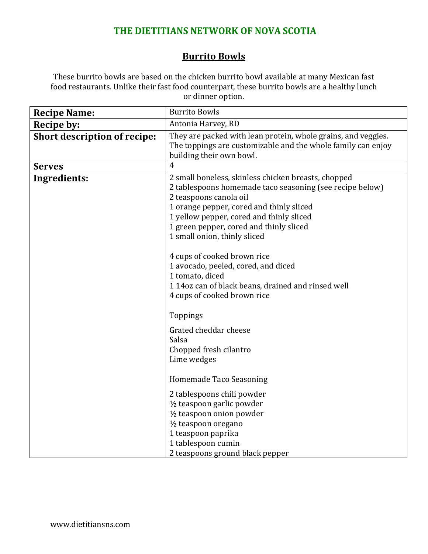## **THE DIETITIANS NETWORK OF NOVA SCOTIA**

## **Burrito Bowls**

These burrito bowls are based on the chicken burrito bowl available at many Mexican fast food restaurants. Unlike their fast food counterpart, these burrito bowls are a healthy lunch or dinner option.

| <b>Recipe Name:</b>                 | <b>Burrito Bowls</b>                                                                                                                                                                                                                                                                                                                                                                                                                                                                                                                                                                                                                                                                                                                               |
|-------------------------------------|----------------------------------------------------------------------------------------------------------------------------------------------------------------------------------------------------------------------------------------------------------------------------------------------------------------------------------------------------------------------------------------------------------------------------------------------------------------------------------------------------------------------------------------------------------------------------------------------------------------------------------------------------------------------------------------------------------------------------------------------------|
| <b>Recipe by:</b>                   | Antonia Harvey, RD                                                                                                                                                                                                                                                                                                                                                                                                                                                                                                                                                                                                                                                                                                                                 |
| <b>Short description of recipe:</b> | They are packed with lean protein, whole grains, and veggies.<br>The toppings are customizable and the whole family can enjoy<br>building their own bowl.                                                                                                                                                                                                                                                                                                                                                                                                                                                                                                                                                                                          |
| <b>Serves</b>                       | $\overline{4}$                                                                                                                                                                                                                                                                                                                                                                                                                                                                                                                                                                                                                                                                                                                                     |
| Ingredients:                        | 2 small boneless, skinless chicken breasts, chopped<br>2 tablespoons homemade taco seasoning (see recipe below)<br>2 teaspoons canola oil<br>1 orange pepper, cored and thinly sliced<br>1 yellow pepper, cored and thinly sliced<br>1 green pepper, cored and thinly sliced<br>1 small onion, thinly sliced<br>4 cups of cooked brown rice<br>1 avocado, peeled, cored, and diced<br>1 tomato, diced<br>114oz can of black beans, drained and rinsed well<br>4 cups of cooked brown rice<br>Toppings<br>Grated cheddar cheese<br>Salsa<br>Chopped fresh cilantro<br>Lime wedges<br>Homemade Taco Seasoning<br>2 tablespoons chili powder<br>1/2 teaspoon garlic powder<br>1/2 teaspoon onion powder<br>1/2 teaspoon oregano<br>1 teaspoon paprika |
|                                     | 1 tablespoon cumin<br>2 teaspoons ground black pepper                                                                                                                                                                                                                                                                                                                                                                                                                                                                                                                                                                                                                                                                                              |